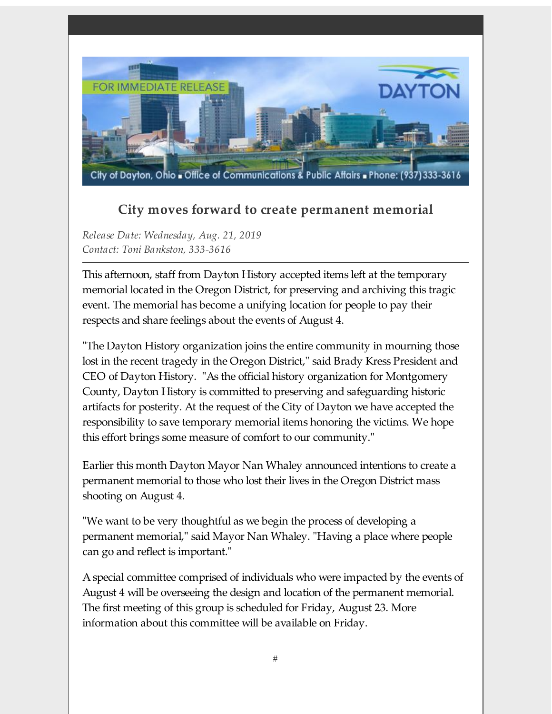

## **City moves forward to create permanent memorial**

*Release Date: Wednesday, Aug. 21, 2019 Contact: Toni Bankston, 333-3616*

This afternoon, staff from Dayton History accepted items left at the temporary memorial located in the Oregon District, for preserving and archiving this tragic event. The memorial has become a unifying location for people to pay their respects and share feelings about the events of August 4.

"The Dayton History organization joins the entire community in mourning those lost in the recent tragedy in the Oregon District," said Brady Kress President and CEO of Dayton History. "As the official history organization for Montgomery County, Dayton History is committed to preserving and safeguarding historic artifacts for posterity. At the request of the City of Dayton we have accepted the responsibility to save temporary memorial items honoring the victims. We hope this effort brings some measure of comfort to our community."

Earlier this month Dayton Mayor Nan Whaley announced intentions to create a permanent memorial to those who lost their lives in the Oregon District mass shooting on August 4.

"We want to be very thoughtful as we begin the process of developing a permanent memorial," said Mayor Nan Whaley. "Having a place where people can go and reflect is important."

A special committee comprised of individuals who were impacted by the events of August 4 will be overseeing the design and location of the permanent memorial. The first meeting of this group is scheduled for Friday, August 23. More information about this committee will be available on Friday.